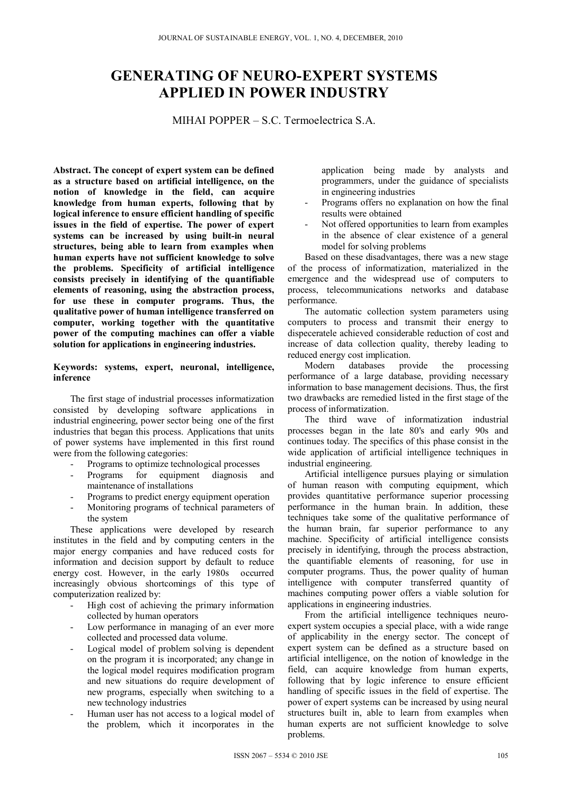## **GENERATING OF NEURO-EXPERT SYSTEMS APPLIED IN POWER INDUSTRY**

MIHAI POPPER – S.C. Termoelectrica S.A.

**Abstract. The concept of expert system can be defined as a structure based on artificial intelligence, on the notion of knowledge in the field, can acquire knowledge from human experts, following that by logical inference to ensure efficient handling of specific issues in the field of expertise. The power of expert systems can be increased by using built-in neural structures, being able to learn from examples when human experts have not sufficient knowledge to solve the problems. Specificity of artificial intelligence consists precisely in identifying of the quantifiable elements of reasoning, using the abstraction process, for use these in computer programs. Thus, the qualitative power of human intelligence transferred on computer, working together with the quantitative power of the computing machines can offer a viable solution for applications in engineering industries.** 

## **Keywords: systems, expert, neuronal, intelligence, inference**

The first stage of industrial processes informatization consisted by developing software applications in industrial engineering, power sector being one of the first industries that began this process. Applications that units of power systems have implemented in this first round were from the following categories:

- Programs to optimize technological processes
- Programs for equipment diagnosis and maintenance of installations
- Programs to predict energy equipment operation
- Monitoring programs of technical parameters of the system

These applications were developed by research institutes in the field and by computing centers in the major energy companies and have reduced costs for information and decision support by default to reduce energy cost. However, in the early 1980s occurred increasingly obvious shortcomings of this type of computerization realized by:

- High cost of achieving the primary information collected by human operators
- Low performance in managing of an ever more collected and processed data volume.
- Logical model of problem solving is dependent on the program it is incorporated; any change in the logical model requires modification program and new situations do require development of new programs, especially when switching to a new technology industries
- Human user has not access to a logical model of the problem, which it incorporates in the

application being made by analysts and programmers, under the guidance of specialists in engineering industries

- Programs offers no explanation on how the final results were obtained
- Not offered opportunities to learn from examples in the absence of clear existence of a general model for solving problems

Based on these disadvantages, there was a new stage of the process of informatization, materialized in the emergence and the widespread use of computers to process, telecommunications networks and database performance.

The automatic collection system parameters using computers to process and transmit their energy to dispeceratele achieved considerable reduction of cost and increase of data collection quality, thereby leading to reduced energy cost implication.<br>Modern databases provide

the processing performance of a large database, providing necessary information to base management decisions. Thus, the first two drawbacks are remedied listed in the first stage of the process of informatization.

The third wave of informatization industrial processes began in the late 80's and early 90s and continues today. The specifics of this phase consist in the wide application of artificial intelligence techniques in industrial engineering.

Artificial intelligence pursues playing or simulation of human reason with computing equipment, which provides quantitative performance superior processing performance in the human brain. In addition, these techniques take some of the qualitative performance of the human brain, far superior performance to any machine. Specificity of artificial intelligence consists precisely in identifying, through the process abstraction, the quantifiable elements of reasoning, for use in computer programs. Thus, the power quality of human intelligence with computer transferred quantity of machines computing power offers a viable solution for applications in engineering industries.

From the artificial intelligence techniques neuroexpert system occupies a special place, with a wide range of applicability in the energy sector. The concept of expert system can be defined as a structure based on artificial intelligence, on the notion of knowledge in the field, can acquire knowledge from human experts, following that by logic inference to ensure efficient handling of specific issues in the field of expertise. The power of expert systems can be increased by using neural structures built in, able to learn from examples when human experts are not sufficient knowledge to solve problems.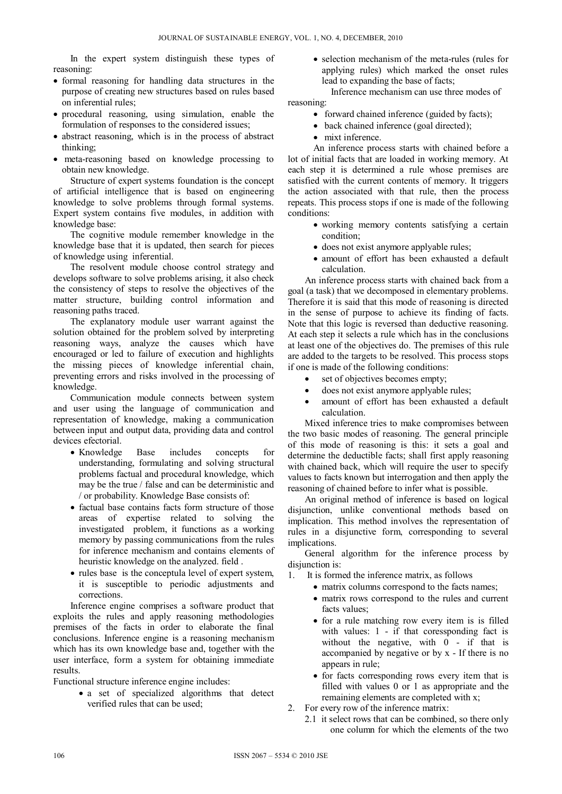In the expert system distinguish these types of reasoning:

- formal reasoning for handling data structures in the purpose of creating new structures based on rules based on inferential rules;
- procedural reasoning, using simulation, enable the formulation of responses to the considered issues;
- abstract reasoning, which is in the process of abstract thinking;
- meta-reasoning based on knowledge processing to obtain new knowledge.

Structure of expert systems foundation is the concept of artificial intelligence that is based on engineering knowledge to solve problems through formal systems. Expert system contains five modules, in addition with knowledge base:

The cognitive module remember knowledge in the knowledge base that it is updated, then search for pieces of knowledge using inferential.

The resolvent module choose control strategy and develops software to solve problems arising, it also check the consistency of steps to resolve the objectives of the matter structure, building control information and reasoning paths traced.

The explanatory module user warrant against the solution obtained for the problem solved by interpreting reasoning ways, analyze the causes which have encouraged or led to failure of execution and highlights the missing pieces of knowledge inferential chain, preventing errors and risks involved in the processing of knowledge.

Communication module connects between system and user using the language of communication and representation of knowledge, making a communication between input and output data, providing data and control devices efectorial.

- Knowledge Base includes concepts for understanding, formulating and solving structural problems factual and procedural knowledge, which may be the true / false and can be deterministic and / or probability. Knowledge Base consists of:
- factual base contains facts form structure of those areas of expertise related to solving the investigated problem, it functions as a working memory by passing communications from the rules for inference mechanism and contains elements of heuristic knowledge on the analyzed. field .
- rules base is the conceptula level of expert system, it is susceptible to periodic adjustments and corrections.

Inference engine comprises a software product that exploits the rules and apply reasoning methodologies premises of the facts in order to elaborate the final conclusions. Inference engine is a reasoning mechanism which has its own knowledge base and, together with the user interface, form a system for obtaining immediate results.

Functional structure inference engine includes:

• a set of specialized algorithms that detect verified rules that can be used;

• selection mechanism of the meta-rules (rules for applying rules) which marked the onset rules lead to expanding the base of facts;

 Inference mechanism can use three modes of reasoning:

- forward chained inference (guided by facts);
- back chained inference (goal directed);
- mixt inference.

 An inference process starts with chained before a lot of initial facts that are loaded in working memory. At each step it is determined a rule whose premises are satisfied with the current contents of memory. It triggers the action associated with that rule, then the process repeats. This process stops if one is made of the following conditions:

- working memory contents satisfying a certain condition;
- does not exist anymore applyable rules;
- amount of effort has been exhausted a default calculation.

An inference process starts with chained back from a goal (a task) that we decomposed in elementary problems. Therefore it is said that this mode of reasoning is directed in the sense of purpose to achieve its finding of facts. Note that this logic is reversed than deductive reasoning. At each step it selects a rule which has in the conclusions at least one of the objectives do. The premises of this rule are added to the targets to be resolved. This process stops if one is made of the following conditions:

- set of objectives becomes empty;
- does not exist anymore applyable rules;
- amount of effort has been exhausted a default calculation.

Mixed inference tries to make compromises between the two basic modes of reasoning. The general principle of this mode of reasoning is this: it sets a goal and determine the deductible facts; shall first apply reasoning with chained back, which will require the user to specify values to facts known but interrogation and then apply the reasoning of chained before to infer what is possible.

An original method of inference is based on logical disjunction, unlike conventional methods based on implication. This method involves the representation of rules in a disjunctive form, corresponding to several implications.

General algorithm for the inference process by disjunction is:

- 1. It is formed the inference matrix, as follows
	- matrix columns correspond to the facts names;
	- matrix rows correspond to the rules and current facts values;
	- for a rule matching row every item is is filled with values: 1 - if that coressponding fact is without the negative, with  $0 - if$  that is accompanied by negative or by x - If there is no appears in rule;
	- for facts corresponding rows every item that is filled with values 0 or 1 as appropriate and the remaining elements are completed with x;
- 2. For every row of the inference matrix:
	- 2.1 it select rows that can be combined, so there only one column for which the elements of the two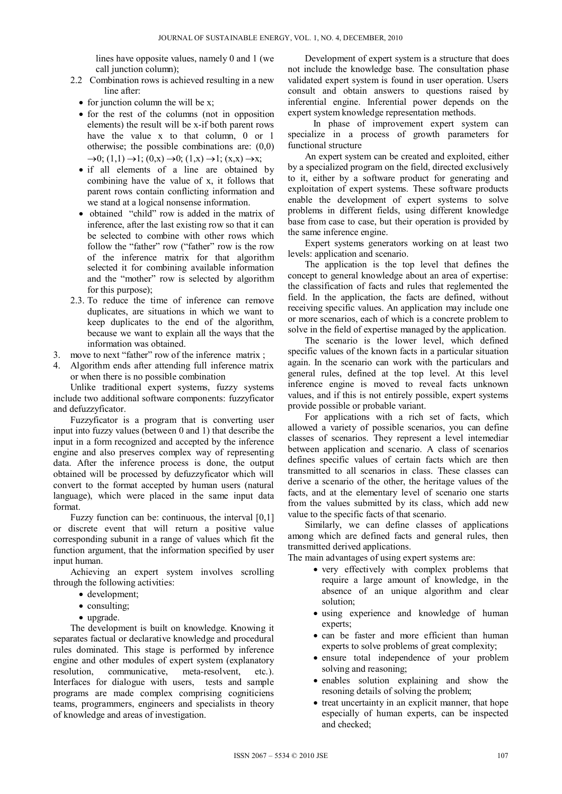lines have opposite values, namely 0 and 1 (we call junction column);

- 2.2 Combination rows is achieved resulting in a new line after:
	- $\bullet$  for junction column the will be x;
	- for the rest of the columns (not in opposition elements) the result will be x-if both parent rows have the value x to that column, 0 or 1 otherwise; the possible combinations are: (0,0)  $\rightarrow 0$ ; (1,1)  $\rightarrow$ 1; (0,x)  $\rightarrow$ 0; (1,x)  $\rightarrow$ 1; (x,x)  $\rightarrow$ x;
	- if all elements of a line are obtained by combining have the value of x, it follows that parent rows contain conflicting information and we stand at a logical nonsense information.
	- obtained "child" row is added in the matrix of inference, after the last existing row so that it can be selected to combine with other rows which follow the "father" row ("father" row is the row of the inference matrix for that algorithm selected it for combining available information and the "mother" row is selected by algorithm for this purpose);
- 2.3. To reduce the time of inference can remove duplicates, are situations in which we want to keep duplicates to the end of the algorithm, because we want to explain all the ways that the information was obtained.
- 3. move to next "father" row of the inference matrix ;
- 4. Algorithm ends after attending full inference matrix or when there is no possible combination

Unlike traditional expert systems, fuzzy systems include two additional software components: fuzzyficator and defuzzyficator.

Fuzzyficator is a program that is converting user input into fuzzy values (between 0 and 1) that describe the input in a form recognized and accepted by the inference engine and also preserves complex way of representing data. After the inference process is done, the output obtained will be processed by defuzzyficator which will convert to the format accepted by human users (natural language), which were placed in the same input data format.

Fuzzy function can be: continuous, the interval [0,1] or discrete event that will return a positive value corresponding subunit in a range of values which fit the function argument, that the information specified by user input human.

Achieving an expert system involves scrolling through the following activities:

- development;
- consulting;
- upgrade.

The development is built on knowledge. Knowing it separates factual or declarative knowledge and procedural rules dominated. This stage is performed by inference engine and other modules of expert system (explanatory resolution, communicative, meta-resolvent, etc.). Interfaces for dialogue with users, tests and sample programs are made complex comprising cogniticiens teams, programmers, engineers and specialists in theory of knowledge and areas of investigation.

 Development of expert system is a structure that does not include the knowledge base. The consultation phase validated expert system is found in user operation. Users consult and obtain answers to questions raised by inferential engine. Inferential power depends on the expert system knowledge representation methods.

 In phase of improvement expert system can specialize in a process of growth parameters for functional structure

An expert system can be created and exploited, either by a specialized program on the field, directed exclusively to it, either by a software product for generating and exploitation of expert systems. These software products enable the development of expert systems to solve problems in different fields, using different knowledge base from case to case, but their operation is provided by the same inference engine.

Expert systems generators working on at least two levels: application and scenario.

The application is the top level that defines the concept to general knowledge about an area of expertise: the classification of facts and rules that reglemented the field. In the application, the facts are defined, without receiving specific values. An application may include one or more scenarios, each of which is a concrete problem to solve in the field of expertise managed by the application.

The scenario is the lower level, which defined specific values of the known facts in a particular situation again. In the scenario can work with the particulars and general rules, defined at the top level. At this level inference engine is moved to reveal facts unknown values, and if this is not entirely possible, expert systems provide possible or probable variant.

For applications with a rich set of facts, which allowed a variety of possible scenarios, you can define classes of scenarios. They represent a level intemediar between application and scenario. A class of scenarios defines specific values of certain facts which are then transmitted to all scenarios in class. These classes can derive a scenario of the other, the heritage values of the facts, and at the elementary level of scenario one starts from the values submitted by its class, which add new value to the specific facts of that scenario.

Similarly, we can define classes of applications among which are defined facts and general rules, then transmitted derived applications.

The main advantages of using expert systems are:

- very effectively with complex problems that require a large amount of knowledge, in the absence of an unique algorithm and clear solution;
- using experience and knowledge of human experts;
- can be faster and more efficient than human experts to solve problems of great complexity;
- ensure total independence of your problem solving and reasoning;
- enables solution explaining and show the resoning details of solving the problem;
- treat uncertainty in an explicit manner, that hope especially of human experts, can be inspected and checked;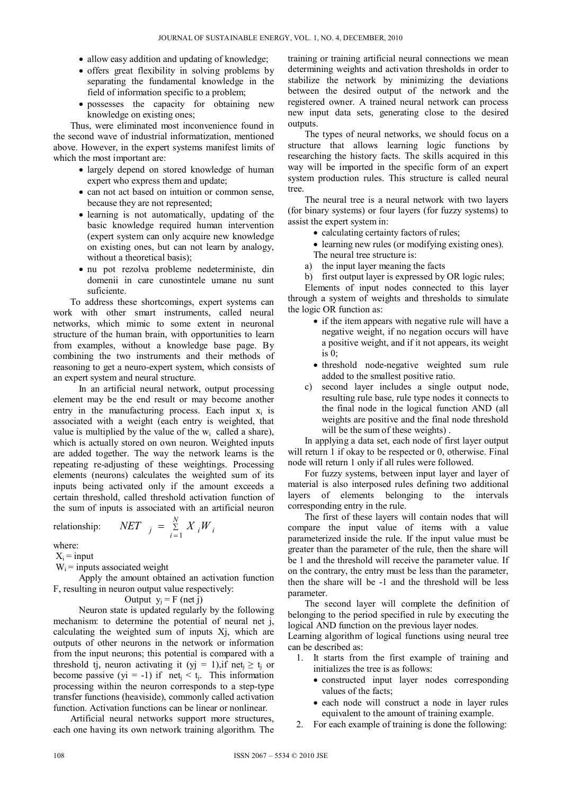- allow easy addition and updating of knowledge;
- offers great flexibility in solving problems by separating the fundamental knowledge in the field of information specific to a problem;
- possesses the capacity for obtaining new knowledge on existing ones;

Thus, were eliminated most inconvenience found in the second wave of industrial informatization, mentioned above. However, in the expert systems manifest limits of which the most important are:

- largely depend on stored knowledge of human expert who express them and update;
- can not act based on intuition or common sense, because they are not represented;
- learning is not automatically, updating of the basic knowledge required human intervention (expert system can only acquire new knowledge on existing ones, but can not learn by analogy, without a theoretical basis);
- nu pot rezolva probleme nedeterministe, din domenii in care cunostintele umane nu sunt suficiente.

To address these shortcomings, expert systems can work with other smart instruments, called neural networks, which mimic to some extent in neuronal structure of the human brain, with opportunities to learn from examples, without a knowledge base page. By combining the two instruments and their methods of reasoning to get a neuro-expert system, which consists of an expert system and neural structure.

 In an artificial neural network, output processing element may be the end result or may become another entry in the manufacturing process. Each input  $x_i$  is associated with a weight (each entry is weighted, that value is multiplied by the value of the  $w_i$  called a share), which is actually stored on own neuron. Weighted inputs are added together. The way the network learns is the repeating re-adjusting of these weightings. Processing elements (neurons) calculates the weighted sum of its inputs being activated only if the amount exceeds a certain threshold, called threshold activation function of the sum of inputs is associated with an artificial neuron

$$
\text{relationship:} \qquad \text{NET} \quad \text{I} = \sum_{i=1}^{N} X_i W_i
$$

where:

 $X_i$  = input

 $W_i$  = inputs associated weight

 Apply the amount obtained an activation function F, resulting in neuron output value respectively:

Output 
$$
y_j = F
$$
 (net j)

 Neuron state is updated regularly by the following mechanism: to determine the potential of neural net j, calculating the weighted sum of inputs Xj, which are outputs of other neurons in the network or information from the input neurons; this potential is compared with a threshold tj, neuron activating it (yj = 1),if net<sub>i</sub>  $\ge t_i$  or become passive (yi = -1) if net<sub>i</sub> < t<sub>i</sub>. This information processing within the neuron corresponds to a step-type transfer functions (heaviside), commonly called activation function. Activation functions can be linear or nonlinear.

 Artificial neural networks support more structures, each one having its own network training algorithm. The training or training artificial neural connections we mean determining weights and activation thresholds in order to stabilize the network by minimizing the deviations between the desired output of the network and the registered owner. A trained neural network can process new input data sets, generating close to the desired outputs.

The types of neural networks, we should focus on a structure that allows learning logic functions by researching the history facts. The skills acquired in this way will be imported in the specific form of an expert system production rules. This structure is called neural tree.

The neural tree is a neural network with two layers (for binary systems) or four layers (for fuzzy systems) to assist the expert system in:

- calculating certainty factors of rules;
- learning new rules (or modifying existing ones). The neural tree structure is:
- a) the input layer meaning the facts
- b) first output layer is expressed by OR logic rules;

Elements of input nodes connected to this layer through a system of weights and thresholds to simulate the logic OR function as:

- if the item appears with negative rule will have a negative weight, if no negation occurs will have a positive weight, and if it not appears, its weight is 0;
- threshold node-negative weighted sum rule added to the smallest positive ratio.
- c) second layer includes a single output node, resulting rule base, rule type nodes it connects to the final node in the logical function AND (all weights are positive and the final node threshold will be the sum of these weights).

In applying a data set, each node of first layer output will return 1 if okay to be respected or 0, otherwise. Final node will return 1 only if all rules were followed.

For fuzzy systems, between input layer and layer of material is also interposed rules defining two additional layers of elements belonging to the intervals corresponding entry in the rule.

The first of these layers will contain nodes that will compare the input value of items with a value parameterized inside the rule. If the input value must be greater than the parameter of the rule, then the share will be 1 and the threshold will receive the parameter value. If on the contrary, the entry must be less than the parameter, then the share will be -1 and the threshold will be less parameter.

The second layer will complete the definition of belonging to the period specified in rule by executing the logical AND function on the previous layer nodes.

Learning algorithm of logical functions using neural tree can be described as:

- 1. It starts from the first example of training and initializes the tree is as follows:
	- constructed input layer nodes corresponding values of the facts;
	- each node will construct a node in layer rules equivalent to the amount of training example.
- 2. For each example of training is done the following: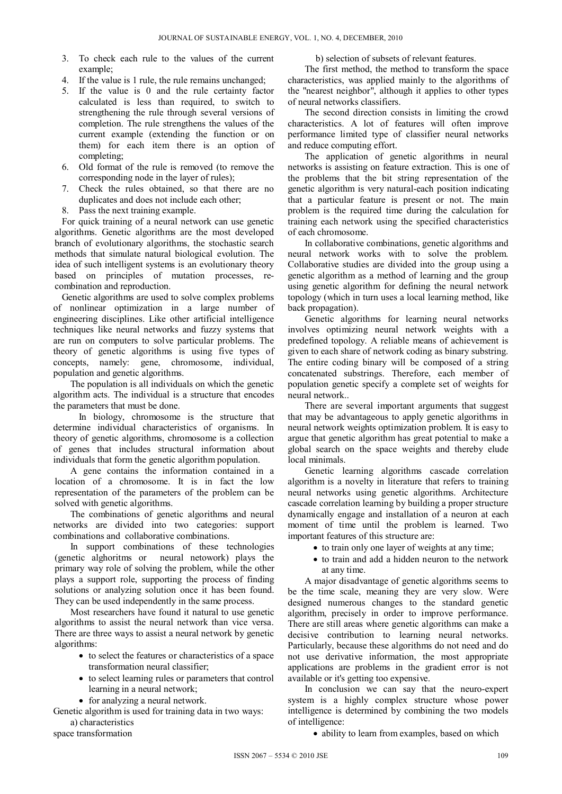- 3. To check each rule to the values of the current example;
- 4. If the value is 1 rule, the rule remains unchanged;
- 5. If the value is 0 and the rule certainty factor calculated is less than required, to switch to strengthening the rule through several versions of completion. The rule strengthens the values of the current example (extending the function or on them) for each item there is an option of completing;
- 6. Old format of the rule is removed (to remove the corresponding node in the layer of rules);
- 7. Check the rules obtained, so that there are no duplicates and does not include each other;
- 8. Pass the next training example.

For quick training of a neural network can use genetic algorithms. Genetic algorithms are the most developed branch of evolutionary algorithms, the stochastic search methods that simulate natural biological evolution. The idea of such intelligent systems is an evolutionary theory based on principles of mutation processes, recombination and reproduction.

Genetic algorithms are used to solve complex problems of nonlinear optimization in a large number of engineering disciplines. Like other artificial intelligence techniques like neural networks and fuzzy systems that are run on computers to solve particular problems. The theory of genetic algorithms is using five types of concepts, namely: gene, chromosome, individual, population and genetic algorithms.

The population is all individuals on which the genetic algorithm acts. The individual is a structure that encodes the parameters that must be done.

In biology, chromosome is the structure that determine individual characteristics of organisms. In theory of genetic algorithms, chromosome is a collection of genes that includes structural information about individuals that form the genetic algorithm population.

A gene contains the information contained in a location of a chromosome. It is in fact the low representation of the parameters of the problem can be solved with genetic algorithms.

The combinations of genetic algorithms and neural networks are divided into two categories: support combinations and collaborative combinations.

In support combinations of these technologies (genetic alghoritms or neural netowork) plays the primary way role of solving the problem, while the other plays a support role, supporting the process of finding solutions or analyzing solution once it has been found. They can be used independently in the same process.

Most researchers have found it natural to use genetic algorithms to assist the neural network than vice versa. There are three ways to assist a neural network by genetic algorithms:

- to select the features or characteristics of a space transformation neural classifier;
- to select learning rules or parameters that control learning in a neural network;
- for analyzing a neural network.

Genetic algorithm is used for training data in two ways: a) characteristics

space transformation

b) selection of subsets of relevant features.

The first method, the method to transform the space characteristics, was applied mainly to the algorithms of the "nearest neighbor", although it applies to other types of neural networks classifiers.

The second direction consists in limiting the crowd characteristics. A lot of features will often improve performance limited type of classifier neural networks and reduce computing effort.

The application of genetic algorithms in neural networks is assisting on feature extraction. This is one of the problems that the bit string representation of the genetic algorithm is very natural-each position indicating that a particular feature is present or not. The main problem is the required time during the calculation for training each network using the specified characteristics of each chromosome.

In collaborative combinations, genetic algorithms and neural network works with to solve the problem. Collaborative studies are divided into the group using a genetic algorithm as a method of learning and the group using genetic algorithm for defining the neural network topology (which in turn uses a local learning method, like back propagation).

Genetic algorithms for learning neural networks involves optimizing neural network weights with a predefined topology. A reliable means of achievement is given to each share of network coding as binary substring. The entire coding binary will be composed of a string concatenated substrings. Therefore, each member of population genetic specify a complete set of weights for neural network..

There are several important arguments that suggest that may be advantageous to apply genetic algorithms in neural network weights optimization problem. It is easy to argue that genetic algorithm has great potential to make a global search on the space weights and thereby elude local minimals.

Genetic learning algorithms cascade correlation algorithm is a novelty in literature that refers to training neural networks using genetic algorithms. Architecture cascade correlation learning by building a proper structure dynamically engage and installation of a neuron at each moment of time until the problem is learned. Two important features of this structure are:

- to train only one layer of weights at any time;
- to train and add a hidden neuron to the network at any time.

A major disadvantage of genetic algorithms seems to be the time scale, meaning they are very slow. Were designed numerous changes to the standard genetic algorithm, precisely in order to improve performance. There are still areas where genetic algorithms can make a decisive contribution to learning neural networks. Particularly, because these algorithms do not need and do not use derivative information, the most appropriate applications are problems in the gradient error is not available or it's getting too expensive.

In conclusion we can say that the neuro-expert system is a highly complex structure whose power intelligence is determined by combining the two models of intelligence:

• ability to learn from examples, based on which